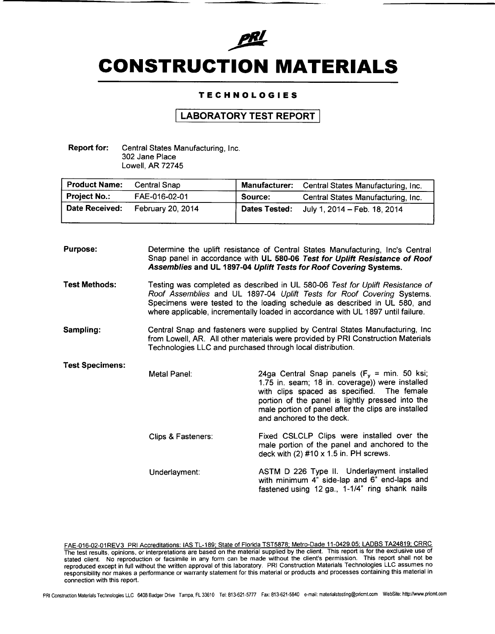

# **CONSTRUCTION MATERIALS**

### **TECHNOLOGIES**

## **LABORATORY TEST REPORT**

Report for: Central States Manufacturing, Inc. 302 Jane Place Lowell, AR 72745

| <b>Product Name:</b> | Central Snap      | <b>Manufacturer:</b> | Central States Manufacturing, Inc. |
|----------------------|-------------------|----------------------|------------------------------------|
| <b>Project No.:</b>  | FAE-016-02-01     | Source:              | Central States Manufacturing, Inc. |
| Date Received:       | February 20, 2014 | <b>Dates Tested:</b> | July 1, 2014 - Feb. 18, 2014       |

| <b>Purpose:</b>        |                                                                                                                                                                                                                                 | Determine the uplift resistance of Central States Manufacturing, Inc's Central<br>Snap panel in accordance with UL 580-06 Test for Uplift Resistance of Roof<br>Assemblies and UL 1897-04 Uplift Tests for Roof Covering Systems.                                                                                        |  |  |
|------------------------|---------------------------------------------------------------------------------------------------------------------------------------------------------------------------------------------------------------------------------|--------------------------------------------------------------------------------------------------------------------------------------------------------------------------------------------------------------------------------------------------------------------------------------------------------------------------|--|--|
| <b>Test Methods:</b>   |                                                                                                                                                                                                                                 | Testing was completed as described in UL 580-06 Test for Uplift Resistance of<br>Roof Assemblies and UL 1897-04 Uplift Tests for Roof Covering Systems.<br>Specimens were tested to the loading schedule as described in UL 580, and<br>where applicable, incrementally loaded in accordance with UL 1897 until failure. |  |  |
| Sampling:              | Central Snap and fasteners were supplied by Central States Manufacturing, Inc<br>from Lowell, AR. All other materials were provided by PRI Construction Materials<br>Technologies LLC and purchased through local distribution. |                                                                                                                                                                                                                                                                                                                          |  |  |
| <b>Test Specimens:</b> | Metal Panel:                                                                                                                                                                                                                    | 24ga Central Snap panels ( $F_v = min$ . 50 ksi;<br>1.75 in. seam; 18 in. coverage)) were installed<br>with clips spaced as specified. The female<br>portion of the panel is lightly pressed into the<br>male portion of panel after the clips are installed<br>and anchored to the deck.                                |  |  |
|                        | Clips & Fasteners:                                                                                                                                                                                                              | Fixed CSLCLP Clips were installed over the<br>male portion of the panel and anchored to the<br>deck with $(2)$ #10 x 1.5 in. PH screws.                                                                                                                                                                                  |  |  |
|                        | Underlayment:                                                                                                                                                                                                                   | ASTM D 226 Type II. Underlayment installed<br>with minimum 4" side-lap and 6" end-laps and<br>fastened using 12 ga., 1-1/4" ring shank nails                                                                                                                                                                             |  |  |

FAE-016-02-01REV3\_PRI Accreditations: IAS TL-189; State of Florida TST5878; Metro-Dade 11-0429.05; LADBS TA24819; CRRC The test results, opinions, or interpretations are based on the material supplied by the client. This report is for the exclusive use of stated client. No reproduction or facsimile in any form can be made without the client's permission. This report shall not be reproduced except in full without the written approval of this laboratory. PRI Construction Materials Technologies LLC assumes no responsibility nor makes a performance or warranty statement for this material or products and processes containing this material in connection with this report.

PRI Construction Materials Technologies LLC 6408 Badger Drive Tampa, FL 33610 Tel: 813.621-5777 Fax: 813-621.5640 e.mail: [materialstesting@pricmt.com](mailto:materialstesting@pricmt.com) WebSite: [hltp:/Iwww.pricmt.com](http://hltp:/Iwww.pricmt.com)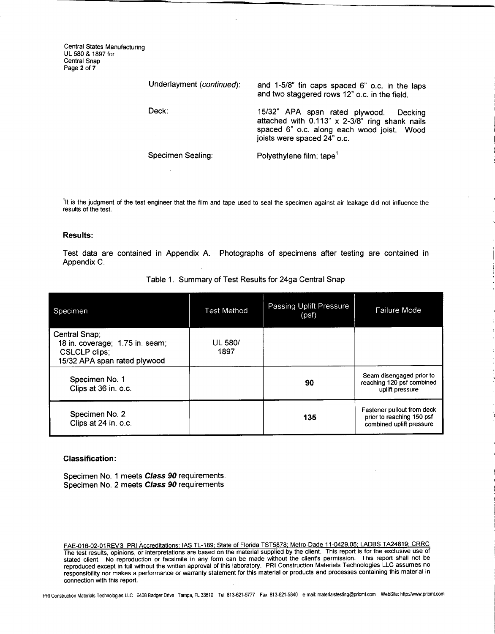Central States Manufacturing UL 580 & 1897 for Central Snap Page 2 of 7

| Underlayment (continued): | and 1-5/8" tin caps spaced 6" o.c. in the laps<br>and two staggered rows 12" o.c. in the field.                                                                          |  |  |  |
|---------------------------|--------------------------------------------------------------------------------------------------------------------------------------------------------------------------|--|--|--|
| Deck:                     | 15/32" APA span rated plywood.<br>Decking<br>attached with 0.113" x 2-3/8" ring shank nails<br>spaced 6" o.c. along each wood joist. Wood<br>joists were spaced 24" o.c. |  |  |  |
| Specimen Sealing:         | Polyethylene film; tape <sup>1</sup>                                                                                                                                     |  |  |  |

'It is the judgment of the test engineer that the film and tape used to seal the specimen against air leakage did not influence the results of the test.

#### Results:

Test data are contained in Appendix A. Photographs of specimens after testing are contained in Appendix C.

| Specimen                                                                                          | <b>Test Method</b>     | Passing Uplift Pressure<br>(psf) | Failure Mode                                                                        |
|---------------------------------------------------------------------------------------------------|------------------------|----------------------------------|-------------------------------------------------------------------------------------|
| Central Snap;<br>18 in. coverage; 1.75 in. seam;<br>CSLCLP clips;<br>15/32 APA span rated plywood | <b>UL 580/</b><br>1897 |                                  |                                                                                     |
| Specimen No. 1<br>Clips at 36 in. o.c.                                                            |                        | 90                               | Seam disengaged prior to<br>reaching 120 psf combined<br>uplift pressure            |
| Specimen No. 2<br>Clips at 24 in. o.c.                                                            |                        | 135                              | Fastener pullout from deck<br>prior to reaching 150 psf<br>combined uplift pressure |

Table 1. Summary of Test Results for 24ga Central Snap

#### Classification:

Specimen No. 1 meets *Class* 90 requirements. Specimen NO.2 meets *Class* 90 requirements

FAE-016-02-01REV3 PRI Accreditations: lAS TL-189; State of Florida TST5878; Metro-Dade 11-0429.05; LADBS TA24819; CRRC The test results. opinions, or interpretations are based on the material supplied by the client. This report is for the exclusive use of stated client. No reproduction or facsimile in any form can be made without the client's permission. This report shall not be reproduced except in full without the written approval of this laboratory. PRI Construction Materials Technologies LLC assumes no responsibility nor makes a performance or warranty statement for this material or products and processes containing this material in connection with this report.

PRI Construction Materials Technologies LLC 6408 Badger Drive Tampa, FL 33610 Tel: 813-621-5777 Fax: 813-621-5840 e-mail: materialstesting@pricmt.com WebSite: http://www.pricmt.com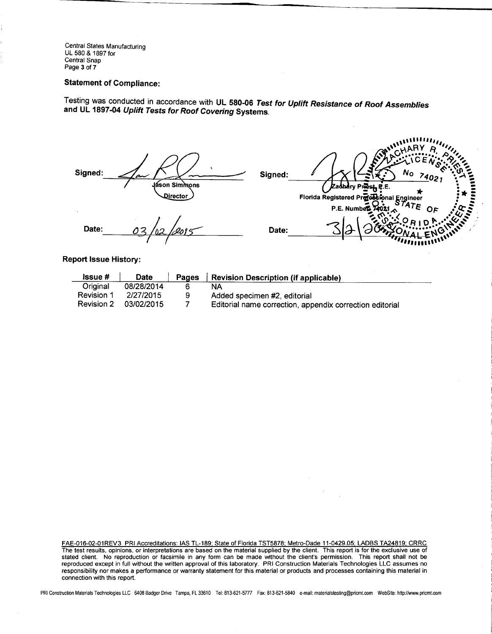Central States Manufacturing UL 580 & 1897 for Central Snap Page 3 of 7

### Statement of Compliance:

Testing was conduct~d in accordance with UL 580-06 *Test for Uplift Resistance of Roof Assemblies* and UL 1897-04 *Uplift Tests for Roof Covering* Systems.

| Signed: | سبم<br>Jáson Simmons<br>Director | Signed: | annihary of<br>$c$ <b>HAR</b> $\vee$<br>C.F.<br>$N_{\rm O}$<br>34021<br><b>Zadnary Prest, P.E.</b><br>Florida Registered Professional Engineer<br>Florida Registered Professional STATE<br>P.E. Number $70216$<br>O۶ |  |
|---------|----------------------------------|---------|----------------------------------------------------------------------------------------------------------------------------------------------------------------------------------------------------------------------|--|
| Date:   |                                  | Date:   | <i>ammining</i>                                                                                                                                                                                                      |  |

"""11''',,,

 $\mathcal{L}_{\mathcal{L}}$ 

Report Issue History:

| <b>Issue</b> #    | <b>Date</b> | Pages | Revision Description (if applicable)                     |
|-------------------|-------------|-------|----------------------------------------------------------|
| Original          | 08/28/2014  |       | NА                                                       |
| Revision 1        | 2/27/2015   | 9     | Added specimen #2, editorial                             |
| <b>Revision 2</b> | 03/02/2015  |       | Editorial name correction, appendix correction editorial |

FAE-016-02-01REV3\_PRI Accreditations: IAS TL-189; State of Florida TST5878; Metro-Dade 11-0429.05; LADBS TA24819; CRRC The test results, opinions, or interpretations are based on the material supplied by the client. This report is for the exclusive use of stated client. No reproduction or facsimile in any form can be made without the client's permission. This report shall not be reproduced except in full without the written approval of this laboratory. PRI Construction Materials Technologies LLC assumes no responsibility nor makes a performance or warranty statement for this material or products and processes containing this material in connection with this report.

PRI Construction Materials Technologies LLC 6408 Badger Drive Tampa, FL 33610 Tel: 813-621-577 Fax: 813-621-5840 e-mail: [materialstesting@pricmt.com](mailto:materialstesting@pricmt.com) WebSite: http://www.pricmt.com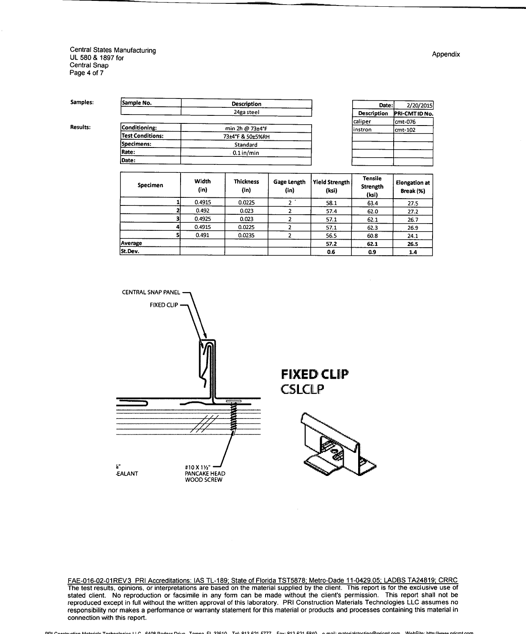Central States Manufacturing UL 580 & 1897 for Central Snap Page 4 of 7

Samples:

Results:

|                         | 24ga steel       |  |  |
|-------------------------|------------------|--|--|
| Conditioning:           | min 2h @ 73±4°F  |  |  |
| <b>Test Conditions:</b> | 73±4°F & 50±5%RH |  |  |
| Specimens:              | Standard         |  |  |
| Rate:                   | $-0.1$ in/min    |  |  |
| Date:                   |                  |  |  |

Sample No. 2008 Description

| Date:       | 2/20/2015      |  |  |
|-------------|----------------|--|--|
| Description | PRI-CMT ID No. |  |  |
| caliper     | cmt-076        |  |  |
| instron     | cmt-102        |  |  |
|             |                |  |  |
|             |                |  |  |
|             |                |  |  |
|             |                |  |  |

| Specimen | Width<br>(in) | <b>Thickness</b><br>(in) | Gage Length<br>(in) | <b>Yield Strength</b><br>(ksi) | <b>Tensile</b><br>Strength<br>(ksi) | <b>Elongation at</b><br>Break (%) |
|----------|---------------|--------------------------|---------------------|--------------------------------|-------------------------------------|-----------------------------------|
|          | 0.4915        | 0.0225                   |                     | 58.1                           | 63.4                                | 27.5                              |
|          | 0.492         | 0.023                    |                     | 57.4                           | 62.0                                | 27.2                              |
|          | 0.4925        | 0.023                    |                     | 57.1                           | 62.1                                | 26.7                              |
|          | 0.4915        | 0.0225                   |                     | 57.1                           | 62.3                                | 26.9                              |
|          | 0.491         | 0.0235                   |                     | 56.5                           | 60.8                                | 24.1                              |
| Average  |               |                          |                     | 57.2                           | 62.1                                | 26.5                              |
| St.Dev.  |               |                          |                     | 0.6                            | 0.9                                 | 1.4                               |



**FIXED CLIP CSLCLP** 



FAE-016-02-01REV3\_PRI Accreditations: IAS TL-189; State of Florida TST5878; Metro-Dade 11-0429.05; LADBS TA24819; CRRC The test results. opinions, or interpretations are based on the material supplied by the client. This report is for the exclusive use of stated client. No reproduction or facsimile in any form can be made without the client's permission. This report shall not be reproduced except in full without the written approval of this laboratory. PRI Construction Materials Technologies LLC assumes no responsibility nor makes a performance or warranty statement for this material or products and processes containing this material in connection with this report.

stion Materials Technologies LLC 6408 Podeer Drive Tomas EL 22610 Tol: 912 621 6777 Eav: 913 621 6840 o mail: materialstecting@aricmt.com WebSite: http://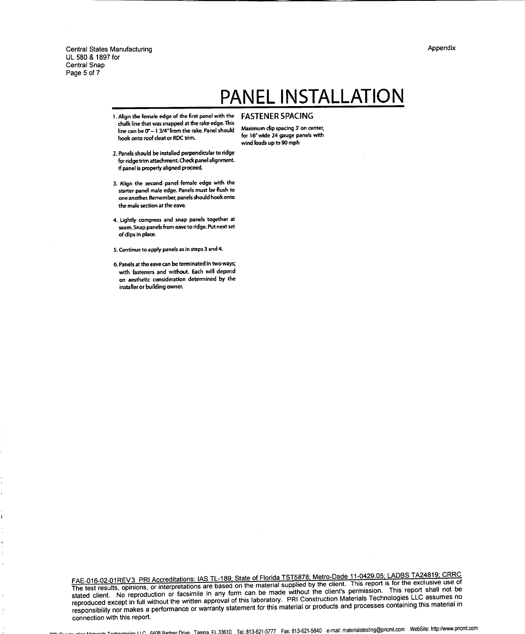Appendix

Central States Manufacturing UL 580 & 1897 for Central Snap Page 5 of 7

# **PANELINSTAllATION**

- 1. Align the female edge of the first panel with the **FASTENER SPACING** chalk line that was snapped at the rake edge. This line can be  $0^{\circ}$  - 1 3/4" from the rake. Panel should hook onto roof deat or RDC trim.
- 2. Panels should be installed perpendicular to ridge for ridge trim attachment. Check panel alignment. If panel is properly aligned proceed.
- 3. Align the second panel female edge with the starter panel male edge. Panels must be flush to one another. Remember, panels should hook onto the male section at the eave.
- 4. Lightly compress and snap panels together at seam. Snap panels from eave to ridge. Put next set of dips in place.
- 5.Continue to a pply panels as in steps 3 and 4.
- 6. Panels at the eave can be terminated in two ways; with fasteners and without. Each will depend on aesthetic consideration determined by the installer or building owner.

Maximum dip spacing 3' on center, for 16" wide 24 gauge panels with wind loads up to 90 mph

FAE-016-02-01 REV3 PRI Accreditations: lAS TL-189: State of Florida TST5878: Metro-Dade 11-0429.05; LADBS TA24819; CRRC The test results, opinions, or interpretations are based on the material supplied by the client. This report is for the exclusive use of stated client. No reproduction or facsimile in any form can be made without the client's permission. This report shall not be stated client. No reproduction or facsimile in any form can be made without the client's permiss reproduced except in full without the written approval of this laboratory. PRI Construction Materials Technologies LLC assumes no responsibility nor makes a performance or warranty statement for this material or products and processes containing this material in connection with this report.

Materials Technologies LLC. 640R Radoer Drive Tampa. FL 33610 Tel: 813-621-5777 Fax: 813-621-5840 e-mail: [materialstesting@pricmt.com](mailto:materialstesting@pricmt.com) WebSite: http://www.pricmt.com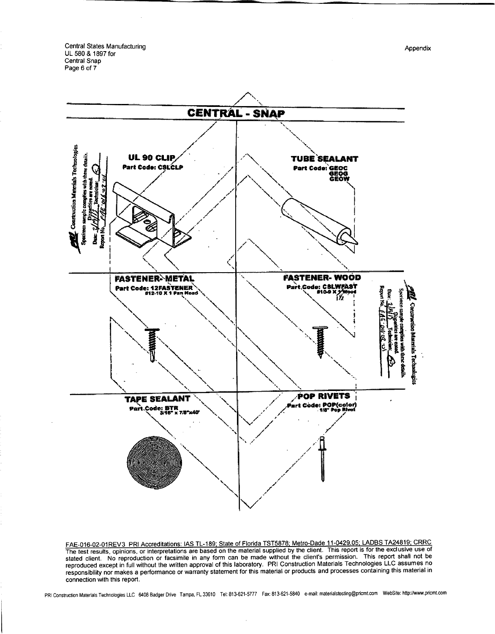Central States Manufacturing UL 580 & 1897 for Central Snap Page 6 of 7

UL 90 CLIP

Part Code: CSLCLP

Construction Materials Technologies

ies with i

**CENTRAL - SNAP TUBE SEALANT** Part Code: GEOC **GEOG** 



FAE-016-02-01 REV3 PRI Accreditations: lAS TL-189; State of Florida TST5878; Metro-Dade 11-0429.05; LADBS TA24819; CRRC The test results, opinions, or interpretations are based on the material supplied by the client. This report is for the exclusive use of stated client. No reproduction or facsimile in any form can be made without the client's permission. This report shall not be reproduced except in full without the written approval of this laboratory. PRI Construction Materials Technologies LLC assumes no responsibility nor makes a performance or warranty statement for this material or products and processes containing this material in connection with this report.

PRI Construction Materials Technologies LLC 6408 Badger Drive Tampa, FL 33610 Tel: 813-621-577 Fax: 813-621-5840 e-mail: materialstesting@pricmt.com WebSite: http://www.pricmt.com

Appendix